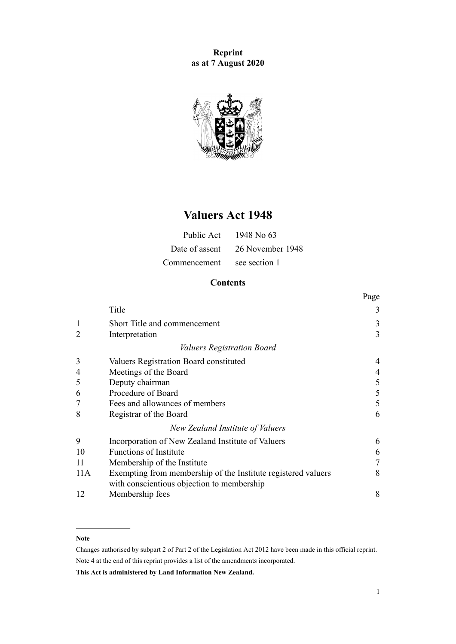**Reprint as at 7 August 2020**



# **Valuers Act 1948**

|              | Public Act $1948$ No 63         |
|--------------|---------------------------------|
|              | Date of assent 26 November 1948 |
| Commencement | see section 1                   |

# **Contents**

|     |                                                               | Page |
|-----|---------------------------------------------------------------|------|
|     | Title                                                         | 3    |
| 1   | Short Title and commencement                                  | 3    |
| 2   | Interpretation                                                | 3    |
|     | <i>Valuers Registration Board</i>                             |      |
| 3   | Valuers Registration Board constituted                        |      |
| 4   | Meetings of the Board                                         |      |
| 5   | Deputy chairman                                               | 5    |
| 6   | Procedure of Board                                            | 5    |
|     | Fees and allowances of members                                | 5    |
| 8   | Registrar of the Board                                        | 6    |
|     | New Zealand Institute of Valuers                              |      |
| 9   | Incorporation of New Zealand Institute of Valuers             | 6    |
| 10  | <b>Functions of Institute</b>                                 | 6    |
| 11  | Membership of the Institute                                   | 7    |
| 11A | Exempting from membership of the Institute registered valuers | 8    |
|     | with conscientious objection to membership                    |      |
| 12  | Membership fees                                               | 8    |

#### **Note**

Changes authorised by [subpart 2](http://legislation.govt.nz/pdflink.aspx?id=DLM2998524) of Part 2 of the Legislation Act 2012 have been made in this official reprint. Note 4 at the end of this reprint provides a list of the amendments incorporated.

**This Act is administered by Land Information New Zealand.**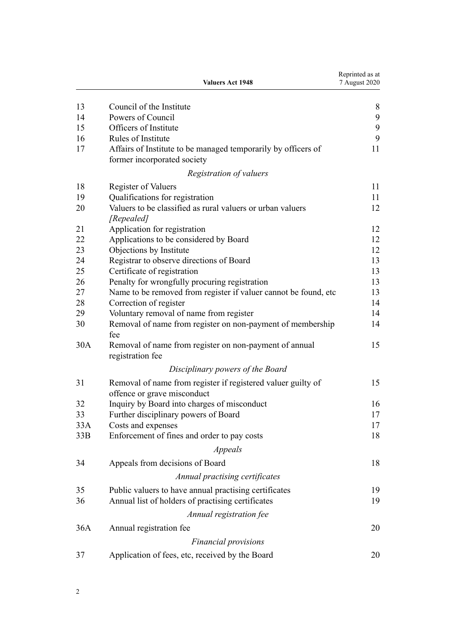|     | <b>Valuers Act 1948</b>                                                                      | Reprinted as at<br>7 August 2020 |
|-----|----------------------------------------------------------------------------------------------|----------------------------------|
| 13  | Council of the Institute                                                                     | 8                                |
| 14  | Powers of Council                                                                            | 9                                |
| 15  | Officers of Institute                                                                        | 9                                |
| 16  | Rules of Institute                                                                           | 9                                |
| 17  | Affairs of Institute to be managed temporarily by officers of<br>former incorporated society | 11                               |
|     | Registration of valuers                                                                      |                                  |
| 18  | <b>Register of Valuers</b>                                                                   | 11                               |
| 19  | Qualifications for registration                                                              | 11                               |
| 20  | Valuers to be classified as rural valuers or urban valuers<br>[Repealed]                     | 12                               |
| 21  | Application for registration                                                                 | 12                               |
| 22  | Applications to be considered by Board                                                       | 12                               |
| 23  | Objections by Institute                                                                      | 12                               |
| 24  | Registrar to observe directions of Board                                                     | 13                               |
| 25  | Certificate of registration                                                                  | 13                               |
| 26  | Penalty for wrongfully procuring registration                                                | 13                               |
| 27  | Name to be removed from register if valuer cannot be found, etc                              | 13                               |
| 28  | Correction of register                                                                       | 14                               |
| 29  | Voluntary removal of name from register                                                      | 14                               |
| 30  | Removal of name from register on non-payment of membership<br>fee                            | 14                               |
| 30A | Removal of name from register on non-payment of annual<br>registration fee                   | 15                               |
|     | Disciplinary powers of the Board                                                             |                                  |
| 31  | Removal of name from register if registered valuer guilty of<br>offence or grave misconduct  | 15                               |
| 32  | Inquiry by Board into charges of misconduct                                                  | 16                               |
| 33  | Further disciplinary powers of Board                                                         | $17\,$                           |
| 33A | Costs and expenses                                                                           | 17                               |
| 33B | Enforcement of fines and order to pay costs                                                  | 18                               |
|     | <i>Appeals</i>                                                                               |                                  |
| 34  | Appeals from decisions of Board                                                              | 18                               |
|     | Annual practising certificates                                                               |                                  |
| 35  | Public valuers to have annual practising certificates                                        | 19                               |
| 36  | Annual list of holders of practising certificates                                            | 19                               |
|     | Annual registration fee                                                                      |                                  |
| 36A | Annual registration fee                                                                      | 20                               |
|     | Financial provisions                                                                         |                                  |
| 37  | Application of fees, etc, received by the Board                                              | 20                               |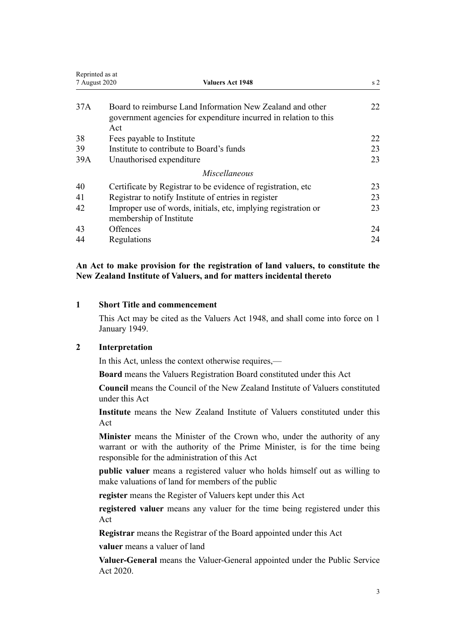<span id="page-2-0"></span>

| Reprinted as at |                                                                                                                                      |                |
|-----------------|--------------------------------------------------------------------------------------------------------------------------------------|----------------|
| 7 August 2020   | <b>Valuers Act 1948</b>                                                                                                              | s <sub>2</sub> |
| 37A             | Board to reimburse Land Information New Zealand and other<br>government agencies for expenditure incurred in relation to this<br>Act | 22             |
| 38              | Fees payable to Institute                                                                                                            | 22             |
| 39              | Institute to contribute to Board's funds                                                                                             | 23             |
| 39A             | Unauthorised expenditure                                                                                                             | 23             |
|                 | Miscellaneous                                                                                                                        |                |
| 40              | Certificate by Registrar to be evidence of registration, etc.                                                                        | 23             |
| 41              | Registrar to notify Institute of entries in register                                                                                 | 23             |
| 42              | Improper use of words, initials, etc, implying registration or                                                                       | 23             |
|                 | membership of Institute                                                                                                              |                |
| 43              | Offences                                                                                                                             | 24             |
| 44              | Regulations                                                                                                                          | 24             |

**An Act to make provision for the registration of land valuers, to constitute the New Zealand Institute of Valuers, and for matters incidental thereto**

### **1 Short Title and commencement**

This Act may be cited as the Valuers Act 1948, and shall come into force on 1 January 1949.

## **2 Interpretation**

In this Act, unless the context otherwise requires,—

**Board** means the Valuers Registration Board constituted under this Act

**Council** means the Council of the New Zealand Institute of Valuers constituted under this Act

**Institute** means the New Zealand Institute of Valuers constituted under this Act

**Minister** means the Minister of the Crown who, under the authority of any warrant or with the authority of the Prime Minister, is for the time being responsible for the administration of this Act

**public valuer** means a registered valuer who holds himself out as willing to make valuations of land for members of the public

**register** means the Register of Valuers kept under this Act

**registered valuer** means any valuer for the time being registered under this Act

**Registrar** means the Registrar of the Board appointed under this Act

**valuer** means a valuer of land

**Valuer-General** means the Valuer-General appointed under the [Public Service](http://legislation.govt.nz/pdflink.aspx?id=LMS106157) [Act 2020.](http://legislation.govt.nz/pdflink.aspx?id=LMS106157)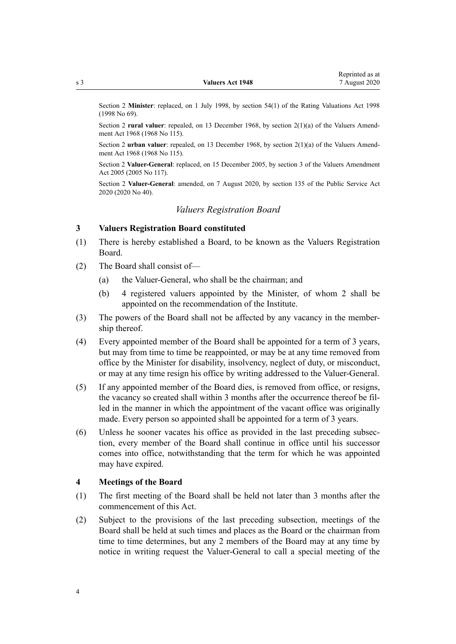<span id="page-3-0"></span>Section 2 **Minister**: replaced, on 1 July 1998, by [section 54\(1\)](http://legislation.govt.nz/pdflink.aspx?id=DLM427717) of the Rating Valuations Act 1998 (1998 No 69).

Section 2 **rural valuer**: repealed, on 13 December 1968, by section 2(1)(a) of the Valuers Amendment Act 1968 (1968 No 115).

Section 2 **urban valuer**: repealed, on 13 December 1968, by section 2(1)(a) of the Valuers Amendment Act 1968 (1968 No 115).

Section 2 **Valuer-General**: replaced, on 15 December 2005, by [section 3](http://legislation.govt.nz/pdflink.aspx?id=DLM362661) of the Valuers Amendment Act 2005 (2005 No 117).

Section 2 **Valuer-General**: amended, on 7 August 2020, by [section 135](http://legislation.govt.nz/pdflink.aspx?id=LMS176959) of the Public Service Act 2020 (2020 No 40).

#### *Valuers Registration Board*

#### **3 Valuers Registration Board constituted**

- (1) There is hereby established a Board, to be known as the Valuers Registration Board.
- (2) The Board shall consist of—
	- (a) the Valuer-General, who shall be the chairman; and
	- (b) 4 registered valuers appointed by the Minister, of whom 2 shall be appointed on the recommendation of the Institute.
- (3) The powers of the Board shall not be affected by any vacancy in the membership thereof.
- (4) Every appointed member of the Board shall be appointed for a term of 3 years, but may from time to time be reappointed, or may be at any time removed from office by the Minister for disability, insolvency, neglect of duty, or misconduct, or may at any time resign his office by writing addressed to the Valuer-General.
- (5) If any appointed member of the Board dies, is removed from office, or resigns, the vacancy so created shall within 3 months after the occurrence thereof be filled in the manner in which the appointment of the vacant office was originally made. Every person so appointed shall be appointed for a term of 3 years.
- (6) Unless he sooner vacates his office as provided in the last preceding subsection, every member of the Board shall continue in office until his successor comes into office, notwithstanding that the term for which he was appointed may have expired.

#### **4 Meetings of the Board**

- (1) The first meeting of the Board shall be held not later than 3 months after the commencement of this Act.
- (2) Subject to the provisions of the last preceding subsection, meetings of the Board shall be held at such times and places as the Board or the chairman from time to time determines, but any 2 members of the Board may at any time by notice in writing request the Valuer-General to call a special meeting of the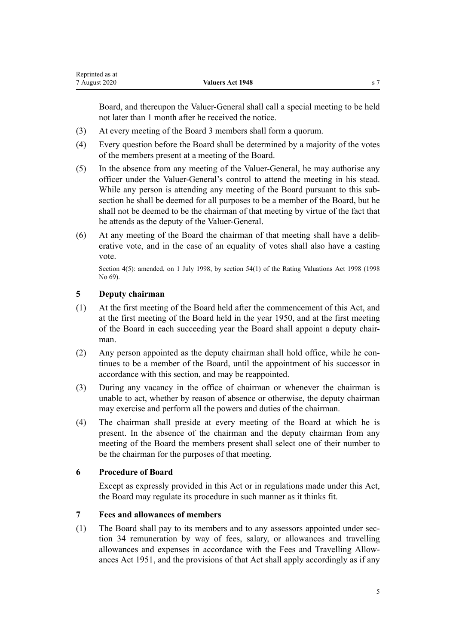<span id="page-4-0"></span>Board, and thereupon the Valuer-General shall call a special meeting to be held not later than 1 month after he received the notice.

- (3) At every meeting of the Board 3 members shall form a quorum.
- (4) Every question before the Board shall be determined by a majority of the votes of the members present at a meeting of the Board.
- (5) In the absence from any meeting of the Valuer-General, he may authorise any officer under the Valuer-General's control to attend the meeting in his stead. While any person is attending any meeting of the Board pursuant to this subsection he shall be deemed for all purposes to be a member of the Board, but he shall not be deemed to be the chairman of that meeting by virtue of the fact that he attends as the deputy of the Valuer-General.
- (6) At any meeting of the Board the chairman of that meeting shall have a deliberative vote, and in the case of an equality of votes shall also have a casting vote.

Section 4(5): amended, on 1 July 1998, by [section 54\(1\)](http://legislation.govt.nz/pdflink.aspx?id=DLM427717) of the Rating Valuations Act 1998 (1998 No 69).

## **5 Deputy chairman**

- (1) At the first meeting of the Board held after the commencement of this Act, and at the first meeting of the Board held in the year 1950, and at the first meeting of the Board in each succeeding year the Board shall appoint a deputy chairman.
- (2) Any person appointed as the deputy chairman shall hold office, while he continues to be a member of the Board, until the appointment of his successor in accordance with this section, and may be reappointed.
- (3) During any vacancy in the office of chairman or whenever the chairman is unable to act, whether by reason of absence or otherwise, the deputy chairman may exercise and perform all the powers and duties of the chairman.
- (4) The chairman shall preside at every meeting of the Board at which he is present. In the absence of the chairman and the deputy chairman from any meeting of the Board the members present shall select one of their number to be the chairman for the purposes of that meeting.

## **6 Procedure of Board**

Except as expressly provided in this Act or in regulations made under this Act, the Board may regulate its procedure in such manner as it thinks fit.

# **7 Fees and allowances of members**

(1) The Board shall pay to its members and to any assessors appointed under [sec](#page-17-0)[tion 34](#page-17-0) remuneration by way of fees, salary, or allowances and travelling allowances and expenses in accordance with the [Fees and Travelling Allow](http://legislation.govt.nz/pdflink.aspx?id=DLM264952)[ances Act 1951](http://legislation.govt.nz/pdflink.aspx?id=DLM264952), and the provisions of that Act shall apply accordingly as if any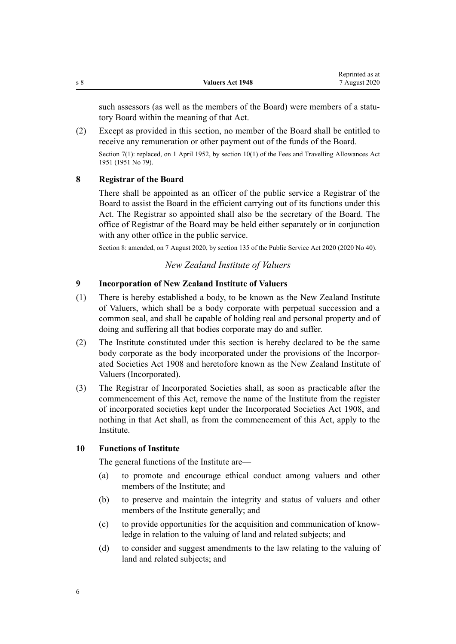Reprinted as at

<span id="page-5-0"></span>such assessors (as well as the members of the Board) were members of a statutory Board within the meaning of that Act.

(2) Except as provided in this section, no member of the Board shall be entitled to receive any remuneration or other payment out of the funds of the Board.

Section 7(1): replaced, on 1 April 1952, by [section 10\(1\)](http://legislation.govt.nz/pdflink.aspx?id=DLM264982) of the Fees and Travelling Allowances Act 1951 (1951 No 79).

## **8 Registrar of the Board**

There shall be appointed as an officer of the public service a Registrar of the Board to assist the Board in the efficient carrying out of its functions under this Act. The Registrar so appointed shall also be the secretary of the Board. The office of Registrar of the Board may be held either separately or in conjunction with any other office in the public service.

Section 8: amended, on 7 August 2020, by [section 135](http://legislation.govt.nz/pdflink.aspx?id=LMS176959) of the Public Service Act 2020 (2020 No 40).

## *New Zealand Institute of Valuers*

### **9 Incorporation of New Zealand Institute of Valuers**

- (1) There is hereby established a body, to be known as the New Zealand Institute of Valuers, which shall be a body corporate with perpetual succession and a common seal, and shall be capable of holding real and personal property and of doing and suffering all that bodies corporate may do and suffer.
- (2) The Institute constituted under this section is hereby declared to be the same body corporate as the body incorporated under the provisions of the [Incorpor](http://legislation.govt.nz/pdflink.aspx?id=DLM175774)[ated Societies Act 1908](http://legislation.govt.nz/pdflink.aspx?id=DLM175774) and heretofore known as the New Zealand Institute of Valuers (Incorporated).
- (3) The Registrar of Incorporated Societies shall, as soon as practicable after the commencement of this Act, remove the name of the Institute from the register of incorporated societies kept under the [Incorporated Societies Act 1908,](http://legislation.govt.nz/pdflink.aspx?id=DLM175774) and nothing in that Act shall, as from the commencement of this Act, apply to the **Institute**

### **10 Functions of Institute**

The general functions of the Institute are—

- (a) to promote and encourage ethical conduct among valuers and other members of the Institute; and
- (b) to preserve and maintain the integrity and status of valuers and other members of the Institute generally; and
- (c) to provide opportunities for the acquisition and communication of knowledge in relation to the valuing of land and related subjects; and
- (d) to consider and suggest amendments to the law relating to the valuing of land and related subjects; and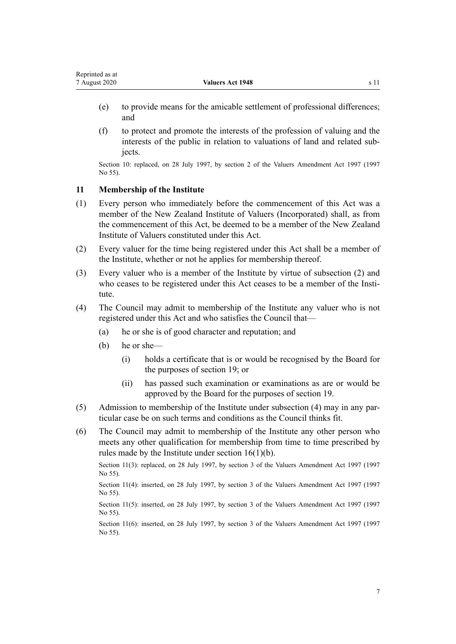- <span id="page-6-0"></span>(e) to provide means for the amicable settlement of professional differences; and
- (f) to protect and promote the interests of the profession of valuing and the interests of the public in relation to valuations of land and related subjects.

Section 10: replaced, on 28 July 1997, by [section 2](http://legislation.govt.nz/pdflink.aspx?id=DLM410747) of the Valuers Amendment Act 1997 (1997 No 55).

#### **11 Membership of the Institute**

- (1) Every person who immediately before the commencement of this Act was a member of the New Zealand Institute of Valuers (Incorporated) shall, as from the commencement of this Act, be deemed to be a member of the New Zealand Institute of Valuers constituted under this Act.
- (2) Every valuer for the time being registered under this Act shall be a member of the Institute, whether or not he applies for membership thereof.
- (3) Every valuer who is a member of the Institute by virtue of subsection (2) and who ceases to be registered under this Act ceases to be a member of the Institute.
- (4) The Council may admit to membership of the Institute any valuer who is not registered under this Act and who satisfies the Council that—
	- (a) he or she is of good character and reputation; and
	- (b) he or she—
		- (i) holds a certificate that is or would be recognised by the Board for the purposes of [section 19](#page-10-0); or
		- (ii) has passed such examination or examinations as are or would be approved by the Board for the purposes of [section 19.](#page-10-0)
- (5) Admission to membership of the Institute under subsection (4) may in any particular case be on such terms and conditions as the Council thinks fit.
- (6) The Council may admit to membership of the Institute any other person who meets any other qualification for membership from time to time prescribed by rules made by the Institute under section  $16(1)(b)$ .

Section 11(3): replaced, on 28 July 1997, by [section 3](http://legislation.govt.nz/pdflink.aspx?id=DLM410748) of the Valuers Amendment Act 1997 (1997) No 55).

Section 11(4): inserted, on 28 July 1997, by [section 3](http://legislation.govt.nz/pdflink.aspx?id=DLM410748) of the Valuers Amendment Act 1997 (1997 No 55).

Section 11(5): inserted, on 28 July 1997, by [section 3](http://legislation.govt.nz/pdflink.aspx?id=DLM410748) of the Valuers Amendment Act 1997 (1997) No 55).

Section 11(6): inserted, on 28 July 1997, by [section 3](http://legislation.govt.nz/pdflink.aspx?id=DLM410748) of the Valuers Amendment Act 1997 (1997) No 55).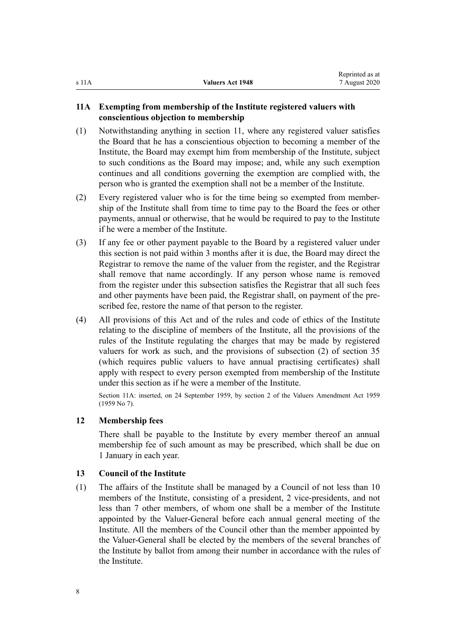## <span id="page-7-0"></span>**11A Exempting from membership of the Institute registered valuers with conscientious objection to membership**

- (1) Notwithstanding anything in [section 11,](#page-6-0) where any registered valuer satisfies the Board that he has a conscientious objection to becoming a member of the Institute, the Board may exempt him from membership of the Institute, subject to such conditions as the Board may impose; and, while any such exemption continues and all conditions governing the exemption are complied with, the person who is granted the exemption shall not be a member of the Institute.
- (2) Every registered valuer who is for the time being so exempted from membership of the Institute shall from time to time pay to the Board the fees or other payments, annual or otherwise, that he would be required to pay to the Institute if he were a member of the Institute.
- (3) If any fee or other payment payable to the Board by a registered valuer under this section is not paid within 3 months after it is due, the Board may direct the Registrar to remove the name of the valuer from the register, and the Registrar shall remove that name accordingly. If any person whose name is removed from the register under this subsection satisfies the Registrar that all such fees and other payments have been paid, the Registrar shall, on payment of the prescribed fee, restore the name of that person to the register.
- (4) All provisions of this Act and of the rules and code of ethics of the Institute relating to the discipline of members of the Institute, all the provisions of the rules of the Institute regulating the charges that may be made by registered valuers for work as such, and the provisions of subsection (2) of [section 35](#page-18-0) (which requires public valuers to have annual practising certificates) shall apply with respect to every person exempted from membership of the Institute under this section as if he were a member of the Institute.

Section 11A: inserted, on 24 September 1959, by section 2 of the Valuers Amendment Act 1959 (1959 No 7).

#### **12 Membership fees**

There shall be payable to the Institute by every member thereof an annual membership fee of such amount as may be prescribed, which shall be due on 1 January in each year.

#### **13 Council of the Institute**

(1) The affairs of the Institute shall be managed by a Council of not less than 10 members of the Institute, consisting of a president, 2 vice-presidents, and not less than 7 other members, of whom one shall be a member of the Institute appointed by the Valuer-General before each annual general meeting of the Institute. All the members of the Council other than the member appointed by the Valuer-General shall be elected by the members of the several branches of the Institute by ballot from among their number in accordance with the rules of the Institute.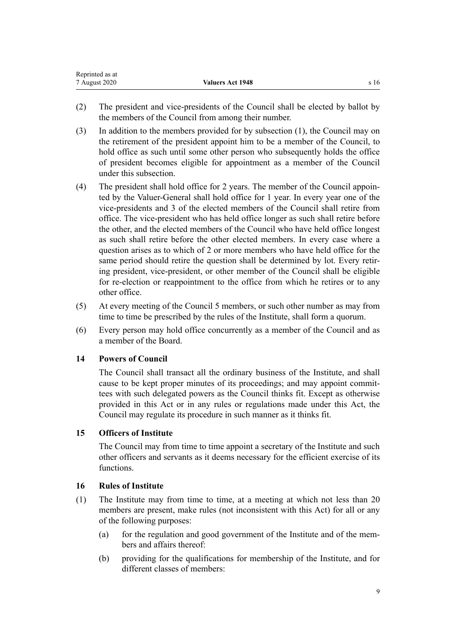<span id="page-8-0"></span>

| Reprinted as at |                  |      |
|-----------------|------------------|------|
| 7 August 2020   | Valuers Act 1948 | s 16 |

- (2) The president and vice-presidents of the Council shall be elected by ballot by the members of the Council from among their number.
- (3) In addition to the members provided for by subsection (1), the Council may on the retirement of the president appoint him to be a member of the Council, to hold office as such until some other person who subsequently holds the office of president becomes eligible for appointment as a member of the Council under this subsection.
- (4) The president shall hold office for 2 years. The member of the Council appointed by the Valuer-General shall hold office for 1 year. In every year one of the vice-presidents and 3 of the elected members of the Council shall retire from office. The vice-president who has held office longer as such shall retire before the other, and the elected members of the Council who have held office longest as such shall retire before the other elected members. In every case where a question arises as to which of 2 or more members who have held office for the same period should retire the question shall be determined by lot. Every retiring president, vice-president, or other member of the Council shall be eligible for re-election or reappointment to the office from which he retires or to any other office.
- (5) At every meeting of the Council 5 members, or such other number as may from time to time be prescribed by the rules of the Institute, shall form a quorum.
- (6) Every person may hold office concurrently as a member of the Council and as a member of the Board.

## **14 Powers of Council**

The Council shall transact all the ordinary business of the Institute, and shall cause to be kept proper minutes of its proceedings; and may appoint committees with such delegated powers as the Council thinks fit. Except as otherwise provided in this Act or in any rules or regulations made under this Act, the Council may regulate its procedure in such manner as it thinks fit.

# **15 Officers of Institute**

The Council may from time to time appoint a secretary of the Institute and such other officers and servants as it deems necessary for the efficient exercise of its functions.

#### **16 Rules of Institute**

- (1) The Institute may from time to time, at a meeting at which not less than 20 members are present, make rules (not inconsistent with this Act) for all or any of the following purposes:
	- (a) for the regulation and good government of the Institute and of the members and affairs thereof:
	- (b) providing for the qualifications for membership of the Institute, and for different classes of members: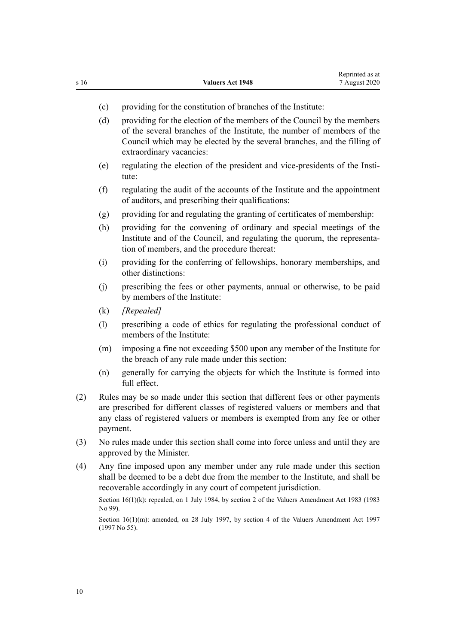- (c) providing for the constitution of branches of the Institute:
- (d) providing for the election of the members of the Council by the members of the several branches of the Institute, the number of members of the Council which may be elected by the several branches, and the filling of extraordinary vacancies:
- (e) regulating the election of the president and vice-presidents of the Institute:
- (f) regulating the audit of the accounts of the Institute and the appointment of auditors, and prescribing their qualifications:
- (g) providing for and regulating the granting of certificates of membership:
- (h) providing for the convening of ordinary and special meetings of the Institute and of the Council, and regulating the quorum, the representation of members, and the procedure thereat:
- (i) providing for the conferring of fellowships, honorary memberships, and other distinctions:
- (j) prescribing the fees or other payments, annual or otherwise, to be paid by members of the Institute:
- (k) *[Repealed]*
- (l) prescribing a code of ethics for regulating the professional conduct of members of the Institute:
- (m) imposing a fine not exceeding \$500 upon any member of the Institute for the breach of any rule made under this section:
- (n) generally for carrying the objects for which the Institute is formed into full effect.
- (2) Rules may be so made under this section that different fees or other payments are prescribed for different classes of registered valuers or members and that any class of registered valuers or members is exempted from any fee or other payment.
- (3) No rules made under this section shall come into force unless and until they are approved by the Minister.
- (4) Any fine imposed upon any member under any rule made under this section shall be deemed to be a debt due from the member to the Institute, and shall be recoverable accordingly in any court of competent jurisdiction.

Section 16(1)(k): repealed, on 1 July 1984, by section 2 of the Valuers Amendment Act 1983 (1983) No 99).

Section 16(1)(m): amended, on 28 July 1997, by [section 4](http://legislation.govt.nz/pdflink.aspx?id=DLM410749) of the Valuers Amendment Act 1997 (1997 No 55).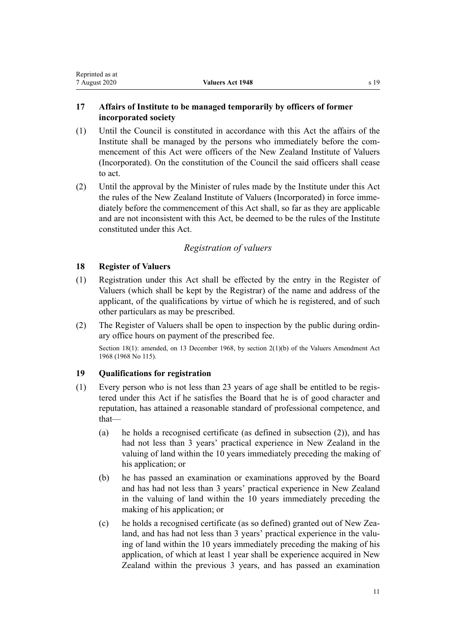# <span id="page-10-0"></span>**17 Affairs of Institute to be managed temporarily by officers of former incorporated society**

- (1) Until the Council is constituted in accordance with this Act the affairs of the Institute shall be managed by the persons who immediately before the commencement of this Act were officers of the New Zealand Institute of Valuers (Incorporated). On the constitution of the Council the said officers shall cease to act.
- (2) Until the approval by the Minister of rules made by the Institute under this Act the rules of the New Zealand Institute of Valuers (Incorporated) in force immediately before the commencement of this Act shall, so far as they are applicable and are not inconsistent with this Act, be deemed to be the rules of the Institute constituted under this Act.

# *Registration of valuers*

## **18 Register of Valuers**

- (1) Registration under this Act shall be effected by the entry in the Register of Valuers (which shall be kept by the Registrar) of the name and address of the applicant, of the qualifications by virtue of which he is registered, and of such other particulars as may be prescribed.
- (2) The Register of Valuers shall be open to inspection by the public during ordinary office hours on payment of the prescribed fee.

Section 18(1): amended, on 13 December 1968, by section 2(1)(b) of the Valuers Amendment Act 1968 (1968 No 115).

## **19 Qualifications for registration**

- (1) Every person who is not less than 23 years of age shall be entitled to be registered under this Act if he satisfies the Board that he is of good character and reputation, has attained a reasonable standard of professional competence, and that—
	- (a) he holds a recognised certificate (as defined in subsection (2)), and has had not less than 3 years' practical experience in New Zealand in the valuing of land within the 10 years immediately preceding the making of his application; or
	- (b) he has passed an examination or examinations approved by the Board and has had not less than 3 years' practical experience in New Zealand in the valuing of land within the 10 years immediately preceding the making of his application; or
	- (c) he holds a recognised certificate (as so defined) granted out of New Zealand, and has had not less than 3 years' practical experience in the valuing of land within the 10 years immediately preceding the making of his application, of which at least 1 year shall be experience acquired in New Zealand within the previous 3 years, and has passed an examination

11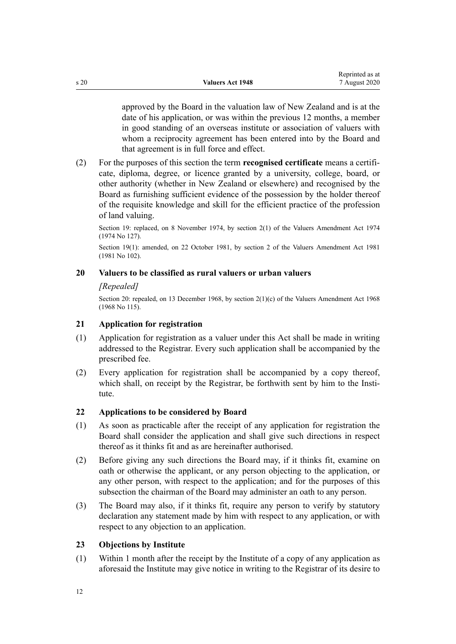<span id="page-11-0"></span>approved by the Board in the valuation law of New Zealand and is at the date of his application, or was within the previous 12 months, a member in good standing of an overseas institute or association of valuers with whom a reciprocity agreement has been entered into by the Board and that agreement is in full force and effect.

(2) For the purposes of this section the term **recognised certificate** means a certificate, diploma, degree, or licence granted by a university, college, board, or other authority (whether in New Zealand or elsewhere) and recognised by the Board as furnishing sufficient evidence of the possession by the holder thereof of the requisite knowledge and skill for the efficient practice of the profession of land valuing.

Section 19: replaced, on 8 November 1974, by section 2(1) of the Valuers Amendment Act 1974 (1974 No 127).

Section 19(1): amended, on 22 October 1981, by section 2 of the Valuers Amendment Act 1981 (1981 No 102).

#### **20 Valuers to be classified as rural valuers or urban valuers**

### *[Repealed]*

Section 20: repealed, on 13 December 1968, by section  $2(1)(c)$  of the Valuers Amendment Act 1968 (1968 No 115).

#### **21 Application for registration**

- (1) Application for registration as a valuer under this Act shall be made in writing addressed to the Registrar. Every such application shall be accompanied by the prescribed fee.
- (2) Every application for registration shall be accompanied by a copy thereof, which shall, on receipt by the Registrar, be forthwith sent by him to the Institute.

### **22 Applications to be considered by Board**

- (1) As soon as practicable after the receipt of any application for registration the Board shall consider the application and shall give such directions in respect thereof as it thinks fit and as are hereinafter authorised.
- (2) Before giving any such directions the Board may, if it thinks fit, examine on oath or otherwise the applicant, or any person objecting to the application, or any other person, with respect to the application; and for the purposes of this subsection the chairman of the Board may administer an oath to any person.
- (3) The Board may also, if it thinks fit, require any person to verify by statutory declaration any statement made by him with respect to any application, or with respect to any objection to an application.

#### **23 Objections by Institute**

(1) Within 1 month after the receipt by the Institute of a copy of any application as aforesaid the Institute may give notice in writing to the Registrar of its desire to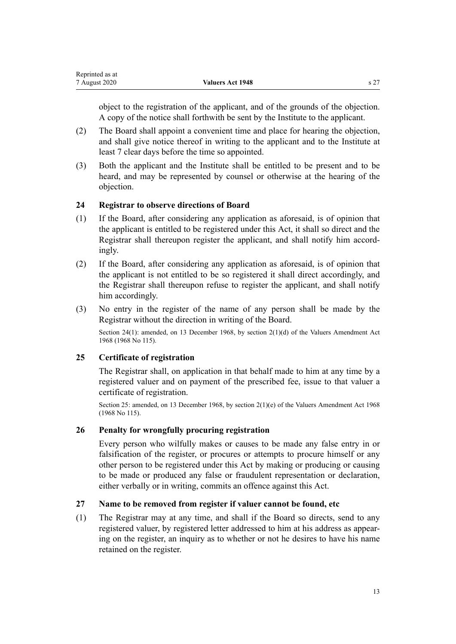<span id="page-12-0"></span>

| Reprinted as at |                  |  |
|-----------------|------------------|--|
| 7 August 2020   | Valuers Act 1948 |  |

object to the registration of the applicant, and of the grounds of the objection. A copy of the notice shall forthwith be sent by the Institute to the applicant.

- (2) The Board shall appoint a convenient time and place for hearing the objection, and shall give notice thereof in writing to the applicant and to the Institute at least 7 clear days before the time so appointed.
- (3) Both the applicant and the Institute shall be entitled to be present and to be heard, and may be represented by counsel or otherwise at the hearing of the objection.

### **24 Registrar to observe directions of Board**

- (1) If the Board, after considering any application as aforesaid, is of opinion that the applicant is entitled to be registered under this Act, it shall so direct and the Registrar shall thereupon register the applicant, and shall notify him accordingly.
- (2) If the Board, after considering any application as aforesaid, is of opinion that the applicant is not entitled to be so registered it shall direct accordingly, and the Registrar shall thereupon refuse to register the applicant, and shall notify him accordingly.
- (3) No entry in the register of the name of any person shall be made by the Registrar without the direction in writing of the Board.

Section 24(1): amended, on 13 December 1968, by section 2(1)(d) of the Valuers Amendment Act 1968 (1968 No 115).

#### **25 Certificate of registration**

The Registrar shall, on application in that behalf made to him at any time by a registered valuer and on payment of the prescribed fee, issue to that valuer a certificate of registration.

Section 25: amended, on 13 December 1968, by section 2(1)(e) of the Valuers Amendment Act 1968 (1968 No 115).

#### **26 Penalty for wrongfully procuring registration**

Every person who wilfully makes or causes to be made any false entry in or falsification of the register, or procures or attempts to procure himself or any other person to be registered under this Act by making or producing or causing to be made or produced any false or fraudulent representation or declaration, either verbally or in writing, commits an offence against this Act.

#### **27 Name to be removed from register if valuer cannot be found, etc**

(1) The Registrar may at any time, and shall if the Board so directs, send to any registered valuer, by registered letter addressed to him at his address as appearing on the register, an inquiry as to whether or not he desires to have his name retained on the register.

13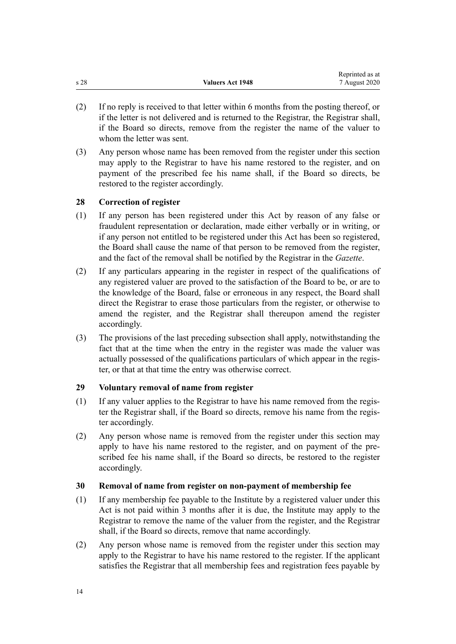<span id="page-13-0"></span>

|                 |                         | Reprinted as at |
|-----------------|-------------------------|-----------------|
| s <sub>28</sub> | <b>Valuers Act 1948</b> | 7 August 2020   |

- (2) If no reply is received to that letter within 6 months from the posting thereof, or if the letter is not delivered and is returned to the Registrar, the Registrar shall, if the Board so directs, remove from the register the name of the valuer to whom the letter was sent.
- (3) Any person whose name has been removed from the register under this section may apply to the Registrar to have his name restored to the register, and on payment of the prescribed fee his name shall, if the Board so directs, be restored to the register accordingly.

### **28 Correction of register**

- (1) If any person has been registered under this Act by reason of any false or fraudulent representation or declaration, made either verbally or in writing, or if any person not entitled to be registered under this Act has been so registered, the Board shall cause the name of that person to be removed from the register, and the fact of the removal shall be notified by the Registrar in the *Gazette*.
- (2) If any particulars appearing in the register in respect of the qualifications of any registered valuer are proved to the satisfaction of the Board to be, or are to the knowledge of the Board, false or erroneous in any respect, the Board shall direct the Registrar to erase those particulars from the register, or otherwise to amend the register, and the Registrar shall thereupon amend the register accordingly.
- (3) The provisions of the last preceding subsection shall apply, notwithstanding the fact that at the time when the entry in the register was made the valuer was actually possessed of the qualifications particulars of which appear in the register, or that at that time the entry was otherwise correct.

## **29 Voluntary removal of name from register**

- (1) If any valuer applies to the Registrar to have his name removed from the register the Registrar shall, if the Board so directs, remove his name from the register accordingly.
- (2) Any person whose name is removed from the register under this section may apply to have his name restored to the register, and on payment of the prescribed fee his name shall, if the Board so directs, be restored to the register accordingly.

#### **30 Removal of name from register on non-payment of membership fee**

- (1) If any membership fee payable to the Institute by a registered valuer under this Act is not paid within 3 months after it is due, the Institute may apply to the Registrar to remove the name of the valuer from the register, and the Registrar shall, if the Board so directs, remove that name accordingly.
- (2) Any person whose name is removed from the register under this section may apply to the Registrar to have his name restored to the register. If the applicant satisfies the Registrar that all membership fees and registration fees payable by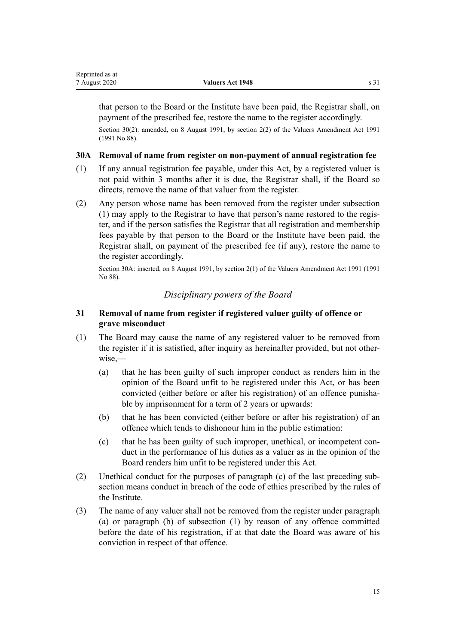<span id="page-14-0"></span>that person to the Board or the Institute have been paid, the Registrar shall, on payment of the prescribed fee, restore the name to the register accordingly.

Section 30(2): amended, on 8 August 1991, by section 2(2) of the Valuers Amendment Act 1991 (1991 No 88).

### **30A Removal of name from register on non-payment of annual registration fee**

- (1) If any annual registration fee payable, under this Act, by a registered valuer is not paid within 3 months after it is due, the Registrar shall, if the Board so directs, remove the name of that valuer from the register.
- (2) Any person whose name has been removed from the register under subsection (1) may apply to the Registrar to have that person's name restored to the register, and if the person satisfies the Registrar that all registration and membership fees payable by that person to the Board or the Institute have been paid, the Registrar shall, on payment of the prescribed fee (if any), restore the name to the register accordingly.

Section 30A: inserted, on 8 August 1991, by section 2(1) of the Valuers Amendment Act 1991 (1991 No 88).

# *Disciplinary powers of the Board*

# **31 Removal of name from register if registered valuer guilty of offence or grave misconduct**

- (1) The Board may cause the name of any registered valuer to be removed from the register if it is satisfied, after inquiry as hereinafter provided, but not otherwise,—
	- (a) that he has been guilty of such improper conduct as renders him in the opinion of the Board unfit to be registered under this Act, or has been convicted (either before or after his registration) of an offence punishable by imprisonment for a term of 2 years or upwards:
	- (b) that he has been convicted (either before or after his registration) of an offence which tends to dishonour him in the public estimation:
	- (c) that he has been guilty of such improper, unethical, or incompetent conduct in the performance of his duties as a valuer as in the opinion of the Board renders him unfit to be registered under this Act.
- (2) Unethical conduct for the purposes of paragraph (c) of the last preceding subsection means conduct in breach of the code of ethics prescribed by the rules of the Institute.
- (3) The name of any valuer shall not be removed from the register under paragraph (a) or paragraph (b) of subsection (1) by reason of any offence committed before the date of his registration, if at that date the Board was aware of his conviction in respect of that offence.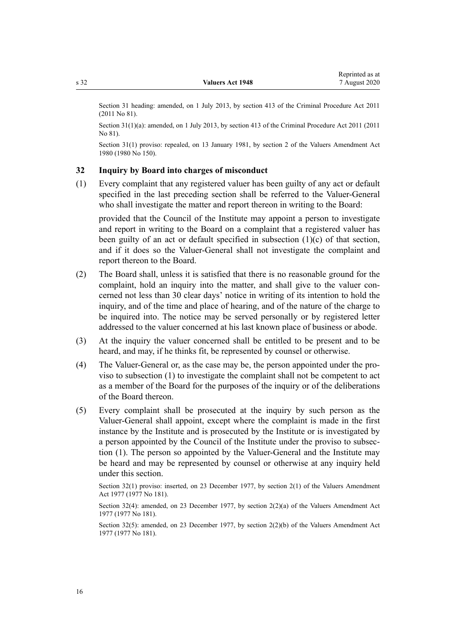<span id="page-15-0"></span>Section 31 heading: amended, on 1 July 2013, by [section 413](http://legislation.govt.nz/pdflink.aspx?id=DLM3360714) of the Criminal Procedure Act 2011 (2011 No 81).

Section 31(1)(a): amended, on 1 July 2013, by [section 413](http://legislation.govt.nz/pdflink.aspx?id=DLM3360714) of the Criminal Procedure Act 2011 (2011) No 81).

Section 31(1) proviso: repealed, on 13 January 1981, by section 2 of the Valuers Amendment Act 1980 (1980 No 150).

#### **32 Inquiry by Board into charges of misconduct**

(1) Every complaint that any registered valuer has been guilty of any act or default specified in the last preceding section shall be referred to the Valuer-General who shall investigate the matter and report thereon in writing to the Board:

provided that the Council of the Institute may appoint a person to investigate and report in writing to the Board on a complaint that a registered valuer has been guilty of an act or default specified in subsection (1)(c) of that section, and if it does so the Valuer-General shall not investigate the complaint and report thereon to the Board.

- (2) The Board shall, unless it is satisfied that there is no reasonable ground for the complaint, hold an inquiry into the matter, and shall give to the valuer concerned not less than 30 clear days' notice in writing of its intention to hold the inquiry, and of the time and place of hearing, and of the nature of the charge to be inquired into. The notice may be served personally or by registered letter addressed to the valuer concerned at his last known place of business or abode.
- (3) At the inquiry the valuer concerned shall be entitled to be present and to be heard, and may, if he thinks fit, be represented by counsel or otherwise.
- (4) The Valuer-General or, as the case may be, the person appointed under the proviso to subsection (1) to investigate the complaint shall not be competent to act as a member of the Board for the purposes of the inquiry or of the deliberations of the Board thereon.
- (5) Every complaint shall be prosecuted at the inquiry by such person as the Valuer-General shall appoint, except where the complaint is made in the first instance by the Institute and is prosecuted by the Institute or is investigated by a person appointed by the Council of the Institute under the proviso to subsection (1). The person so appointed by the Valuer-General and the Institute may be heard and may be represented by counsel or otherwise at any inquiry held under this section.

Section 32(1) proviso: inserted, on 23 December 1977, by section 2(1) of the Valuers Amendment Act 1977 (1977 No 181).

Section 32(4): amended, on 23 December 1977, by section 2(2)(a) of the Valuers Amendment Act 1977 (1977 No 181).

Section 32(5): amended, on 23 December 1977, by section 2(2)(b) of the Valuers Amendment Act 1977 (1977 No 181).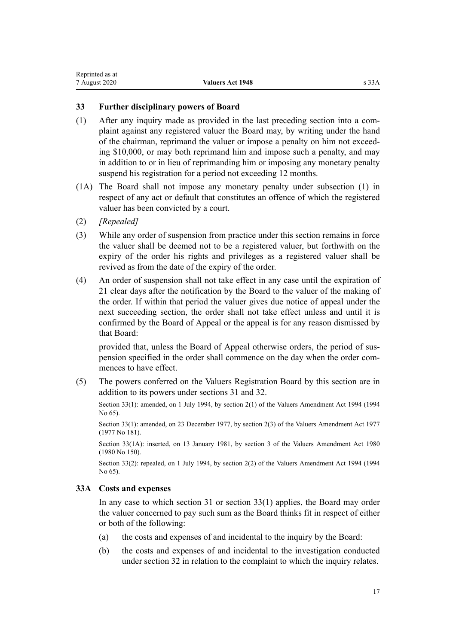### <span id="page-16-0"></span>**33 Further disciplinary powers of Board**

- (1) After any inquiry made as provided in the last preceding section into a complaint against any registered valuer the Board may, by writing under the hand of the chairman, reprimand the valuer or impose a penalty on him not exceeding \$10,000, or may both reprimand him and impose such a penalty, and may in addition to or in lieu of reprimanding him or imposing any monetary penalty suspend his registration for a period not exceeding 12 months.
- (1A) The Board shall not impose any monetary penalty under subsection (1) in respect of any act or default that constitutes an offence of which the registered valuer has been convicted by a court.
- (2) *[Repealed]*
- (3) While any order of suspension from practice under this section remains in force the valuer shall be deemed not to be a registered valuer, but forthwith on the expiry of the order his rights and privileges as a registered valuer shall be revived as from the date of the expiry of the order.
- (4) An order of suspension shall not take effect in any case until the expiration of 21 clear days after the notification by the Board to the valuer of the making of the order. If within that period the valuer gives due notice of appeal under the next succeeding section, the order shall not take effect unless and until it is confirmed by the Board of Appeal or the appeal is for any reason dismissed by that Board:

provided that, unless the Board of Appeal otherwise orders, the period of suspension specified in the order shall commence on the day when the order commences to have effect.

(5) The powers conferred on the Valuers Registration Board by this section are in addition to its powers under [sections 31](#page-14-0) and [32.](#page-15-0)

Section 33(1): amended, on 1 July 1994, by section 2(1) of the Valuers Amendment Act 1994 (1994 No 65).

Section 33(1): amended, on 23 December 1977, by section 2(3) of the Valuers Amendment Act 1977 (1977 No 181).

Section 33(1A): inserted, on 13 January 1981, by section 3 of the Valuers Amendment Act 1980 (1980 No 150).

Section 33(2): repealed, on 1 July 1994, by section 2(2) of the Valuers Amendment Act 1994 (1994) No 65).

## **33A Costs and expenses**

In any case to which [section 31](#page-14-0) or section 33(1) applies, the Board may order the valuer concerned to pay such sum as the Board thinks fit in respect of either or both of the following:

- (a) the costs and expenses of and incidental to the inquiry by the Board:
- (b) the costs and expenses of and incidental to the investigation conducted under [section 32](#page-15-0) in relation to the complaint to which the inquiry relates.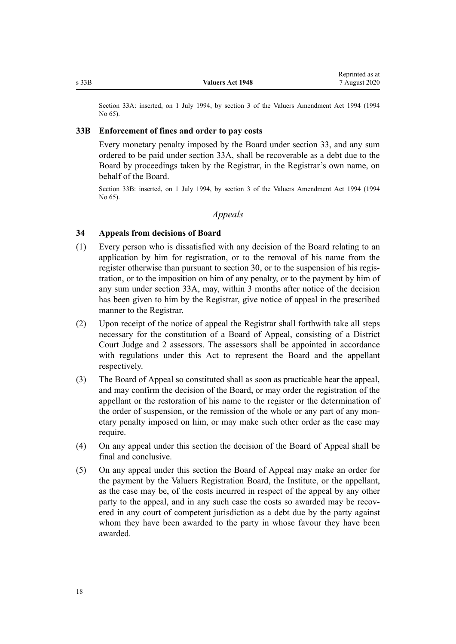<span id="page-17-0"></span>Section 33A: inserted, on 1 July 1994, by section 3 of the Valuers Amendment Act 1994 (1994 No 65).

#### **33B Enforcement of fines and order to pay costs**

Every monetary penalty imposed by the Board under [section 33,](#page-16-0) and any sum ordered to be paid under [section 33A,](#page-16-0) shall be recoverable as a debt due to the Board by proceedings taken by the Registrar, in the Registrar's own name, on behalf of the Board.

Section 33B: inserted, on 1 July 1994, by section 3 of the Valuers Amendment Act 1994 (1994 No 65).

### *Appeals*

#### **34 Appeals from decisions of Board**

- (1) Every person who is dissatisfied with any decision of the Board relating to an application by him for registration, or to the removal of his name from the register otherwise than pursuant to [section 30](#page-13-0), or to the suspension of his registration, or to the imposition on him of any penalty, or to the payment by him of any sum under [section 33A](#page-16-0), may, within 3 months after notice of the decision has been given to him by the Registrar, give notice of appeal in the prescribed manner to the Registrar.
- (2) Upon receipt of the notice of appeal the Registrar shall forthwith take all steps necessary for the constitution of a Board of Appeal, consisting of a District Court Judge and 2 assessors. The assessors shall be appointed in accordance with regulations under this Act to represent the Board and the appellant respectively.
- (3) The Board of Appeal so constituted shall as soon as practicable hear the appeal, and may confirm the decision of the Board, or may order the registration of the appellant or the restoration of his name to the register or the determination of the order of suspension, or the remission of the whole or any part of any monetary penalty imposed on him, or may make such other order as the case may require.
- (4) On any appeal under this section the decision of the Board of Appeal shall be final and conclusive.
- (5) On any appeal under this section the Board of Appeal may make an order for the payment by the Valuers Registration Board, the Institute, or the appellant, as the case may be, of the costs incurred in respect of the appeal by any other party to the appeal, and in any such case the costs so awarded may be recovered in any court of competent jurisdiction as a debt due by the party against whom they have been awarded to the party in whose favour they have been awarded.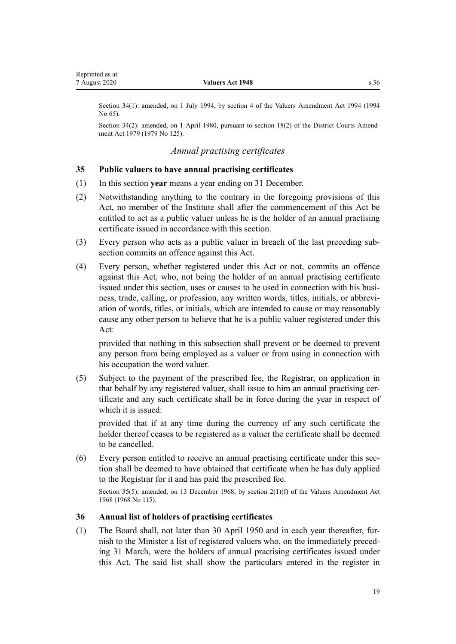<span id="page-18-0"></span>Section 34(1): amended, on 1 July 1994, by section 4 of the Valuers Amendment Act 1994 (1994 No 65).

Section 34(2): amended, on 1 April 1980, pursuant to [section 18\(2\)](http://legislation.govt.nz/pdflink.aspx?id=DLM35085) of the District Courts Amendment Act 1979 (1979 No 125).

### *Annual practising certificates*

#### **35 Public valuers to have annual practising certificates**

- (1) In this section **year** means a year ending on 31 December.
- (2) Notwithstanding anything to the contrary in the foregoing provisions of this Act, no member of the Institute shall after the commencement of this Act be entitled to act as a public valuer unless he is the holder of an annual practising certificate issued in accordance with this section.
- (3) Every person who acts as a public valuer in breach of the last preceding subsection commits an offence against this Act.
- (4) Every person, whether registered under this Act or not, commits an offence against this Act, who, not being the holder of an annual practising certificate issued under this section, uses or causes to be used in connection with his business, trade, calling, or profession, any written words, titles, initials, or abbreviation of words, titles, or initials, which are intended to cause or may reasonably cause any other person to believe that he is a public valuer registered under this Act:

provided that nothing in this subsection shall prevent or be deemed to prevent any person from being employed as a valuer or from using in connection with his occupation the word valuer.

(5) Subject to the payment of the prescribed fee, the Registrar, on application in that behalf by any registered valuer, shall issue to him an annual practising certificate and any such certificate shall be in force during the year in respect of which it is issued:

provided that if at any time during the currency of any such certificate the holder thereof ceases to be registered as a valuer the certificate shall be deemed to be cancelled.

(6) Every person entitled to receive an annual practising certificate under this section shall be deemed to have obtained that certificate when he has duly applied to the Registrar for it and has paid the prescribed fee.

Section 35(5): amended, on 13 December 1968, by section 2(1)(f) of the Valuers Amendment Act 1968 (1968 No 115).

#### **36 Annual list of holders of practising certificates**

(1) The Board shall, not later than 30 April 1950 and in each year thereafter, furnish to the Minister a list of registered valuers who, on the immediately preceding 31 March, were the holders of annual practising certificates issued under this Act. The said list shall show the particulars entered in the register in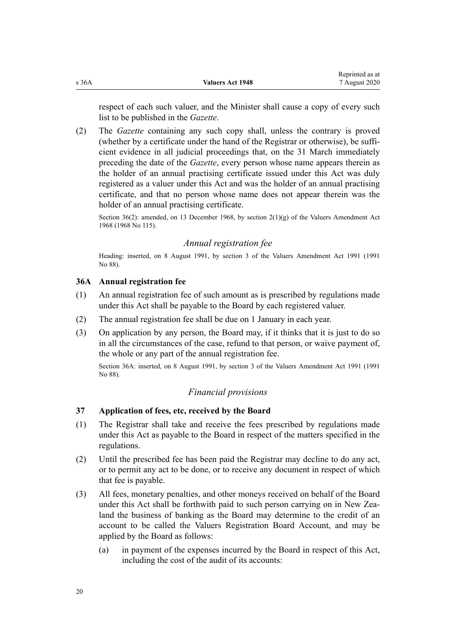<span id="page-19-0"></span>respect of each such valuer, and the Minister shall cause a copy of every such list to be published in the *Gazette*.

(2) The *Gazette* containing any such copy shall, unless the contrary is proved (whether by a certificate under the hand of the Registrar or otherwise), be sufficient evidence in all judicial proceedings that, on the 31 March immediately preceding the date of the *Gazette*, every person whose name appears therein as the holder of an annual practising certificate issued under this Act was duly registered as a valuer under this Act and was the holder of an annual practising certificate, and that no person whose name does not appear therein was the holder of an annual practising certificate.

Section 36(2): amended, on 13 December 1968, by section 2(1)(g) of the Valuers Amendment Act 1968 (1968 No 115).

# *Annual registration fee*

Heading: inserted, on 8 August 1991, by section 3 of the Valuers Amendment Act 1991 (1991 No 88).

# **36A Annual registration fee**

- (1) An annual registration fee of such amount as is prescribed by regulations made under this Act shall be payable to the Board by each registered valuer.
- (2) The annual registration fee shall be due on 1 January in each year.
- (3) On application by any person, the Board may, if it thinks that it is just to do so in all the circumstances of the case, refund to that person, or waive payment of, the whole or any part of the annual registration fee.

Section 36A: inserted, on 8 August 1991, by section 3 of the Valuers Amendment Act 1991 (1991 No 88).

# *Financial provisions*

## **37 Application of fees, etc, received by the Board**

- (1) The Registrar shall take and receive the fees prescribed by regulations made under this Act as payable to the Board in respect of the matters specified in the regulations.
- (2) Until the prescribed fee has been paid the Registrar may decline to do any act, or to permit any act to be done, or to receive any document in respect of which that fee is payable.
- (3) All fees, monetary penalties, and other moneys received on behalf of the Board under this Act shall be forthwith paid to such person carrying on in New Zealand the business of banking as the Board may determine to the credit of an account to be called the Valuers Registration Board Account, and may be applied by the Board as follows:
	- (a) in payment of the expenses incurred by the Board in respect of this Act, including the cost of the audit of its accounts: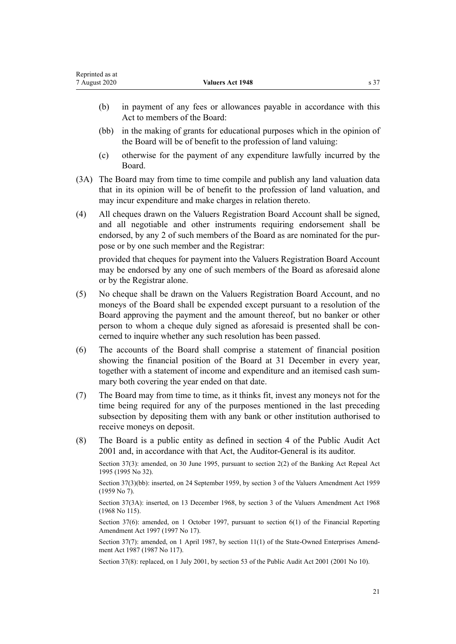- Act to members of the Board:
- (bb) in the making of grants for educational purposes which in the opinion of the Board will be of benefit to the profession of land valuing:
- (c) otherwise for the payment of any expenditure lawfully incurred by the Board.
- (3A) The Board may from time to time compile and publish any land valuation data that in its opinion will be of benefit to the profession of land valuation, and may incur expenditure and make charges in relation thereto.
- (4) All cheques drawn on the Valuers Registration Board Account shall be signed, and all negotiable and other instruments requiring endorsement shall be endorsed, by any 2 of such members of the Board as are nominated for the purpose or by one such member and the Registrar:

provided that cheques for payment into the Valuers Registration Board Account may be endorsed by any one of such members of the Board as aforesaid alone or by the Registrar alone.

- (5) No cheque shall be drawn on the Valuers Registration Board Account, and no moneys of the Board shall be expended except pursuant to a resolution of the Board approving the payment and the amount thereof, but no banker or other person to whom a cheque duly signed as aforesaid is presented shall be concerned to inquire whether any such resolution has been passed.
- (6) The accounts of the Board shall comprise a statement of financial position showing the financial position of the Board at 31 December in every year, together with a statement of income and expenditure and an itemised cash summary both covering the year ended on that date.
- (7) The Board may from time to time, as it thinks fit, invest any moneys not for the time being required for any of the purposes mentioned in the last preceding subsection by depositing them with any bank or other institution authorised to receive moneys on deposit.
- (8) The Board is a public entity as defined in [section 4](http://legislation.govt.nz/pdflink.aspx?id=DLM88548) of the Public Audit Act 2001 and, in accordance with that Act, the Auditor-General is its auditor.

Section 37(3): amended, on 30 June 1995, pursuant to [section 2\(2\)](http://legislation.govt.nz/pdflink.aspx?id=DLM366890) of the Banking Act Repeal Act 1995 (1995 No 32).

Section 37(3)(bb): inserted, on 24 September 1959, by section 3 of the Valuers Amendment Act 1959 (1959 No 7).

Section 37(3A): inserted, on 13 December 1968, by section 3 of the Valuers Amendment Act 1968 (1968 No 115).

Section 37(6): amended, on 1 October 1997, pursuant to [section 6\(1\)](http://legislation.govt.nz/pdflink.aspx?id=DLM408960) of the Financial Reporting Amendment Act 1997 (1997 No 17).

Section 37(7): amended, on 1 April 1987, by section 11(1) of the State-Owned Enterprises Amendment Act 1987 (1987 No 117).

Section 37(8): replaced, on 1 July 2001, by [section 53](http://legislation.govt.nz/pdflink.aspx?id=DLM88957) of the Public Audit Act 2001 (2001 No 10).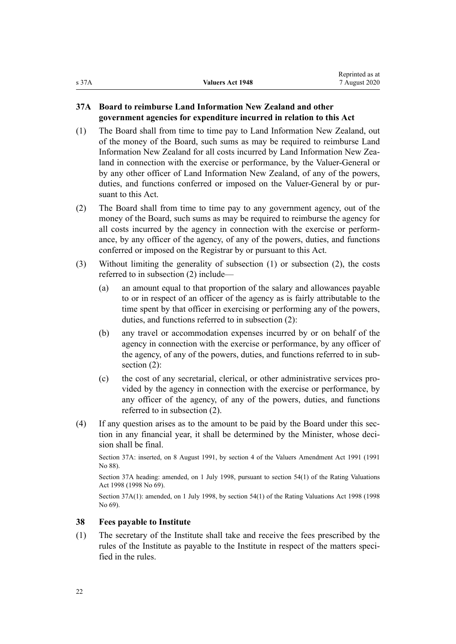# <span id="page-21-0"></span>**37A Board to reimburse Land Information New Zealand and other government agencies for expenditure incurred in relation to this Act**

- (1) The Board shall from time to time pay to Land Information New Zealand, out of the money of the Board, such sums as may be required to reimburse Land Information New Zealand for all costs incurred by Land Information New Zealand in connection with the exercise or performance, by the Valuer-General or by any other officer of Land Information New Zealand, of any of the powers, duties, and functions conferred or imposed on the Valuer-General by or pursuant to this Act.
- (2) The Board shall from time to time pay to any government agency, out of the money of the Board, such sums as may be required to reimburse the agency for all costs incurred by the agency in connection with the exercise or performance, by any officer of the agency, of any of the powers, duties, and functions conferred or imposed on the Registrar by or pursuant to this Act.
- (3) Without limiting the generality of subsection (1) or subsection (2), the costs referred to in subsection (2) include—
	- (a) an amount equal to that proportion of the salary and allowances payable to or in respect of an officer of the agency as is fairly attributable to the time spent by that officer in exercising or performing any of the powers, duties, and functions referred to in subsection (2):
	- (b) any travel or accommodation expenses incurred by or on behalf of the agency in connection with the exercise or performance, by any officer of the agency, of any of the powers, duties, and functions referred to in subsection (2):
	- (c) the cost of any secretarial, clerical, or other administrative services provided by the agency in connection with the exercise or performance, by any officer of the agency, of any of the powers, duties, and functions referred to in subsection (2).
- (4) If any question arises as to the amount to be paid by the Board under this section in any financial year, it shall be determined by the Minister, whose decision shall be final.

Section 37A: inserted, on 8 August 1991, by section 4 of the Valuers Amendment Act 1991 (1991 No 88).

Section 37A heading: amended, on 1 July 1998, pursuant to [section 54\(1\)](http://legislation.govt.nz/pdflink.aspx?id=DLM427717) of the Rating Valuations Act 1998 (1998 No 69).

Section 37A(1): amended, on 1 July 1998, by [section 54\(1\)](http://legislation.govt.nz/pdflink.aspx?id=DLM427717) of the Rating Valuations Act 1998 (1998 No 69).

## **38 Fees payable to Institute**

(1) The secretary of the Institute shall take and receive the fees prescribed by the rules of the Institute as payable to the Institute in respect of the matters specified in the rules.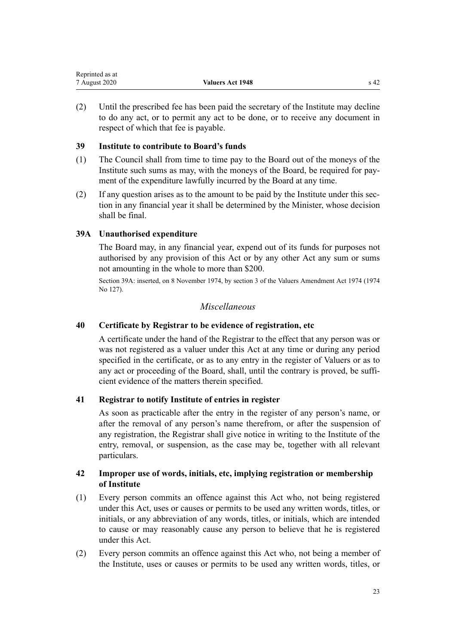<span id="page-22-0"></span>

| Reprinted as at |                         |                 |
|-----------------|-------------------------|-----------------|
| 7 August 2020   | <b>Valuers Act 1948</b> | s <sub>42</sub> |

(2) Until the prescribed fee has been paid the secretary of the Institute may decline to do any act, or to permit any act to be done, or to receive any document in respect of which that fee is payable.

### **39 Institute to contribute to Board's funds**

- (1) The Council shall from time to time pay to the Board out of the moneys of the Institute such sums as may, with the moneys of the Board, be required for payment of the expenditure lawfully incurred by the Board at any time.
- (2) If any question arises as to the amount to be paid by the Institute under this section in any financial year it shall be determined by the Minister, whose decision shall be final.

### **39A Unauthorised expenditure**

The Board may, in any financial year, expend out of its funds for purposes not authorised by any provision of this Act or by any other Act any sum or sums not amounting in the whole to more than \$200.

Section 39A: inserted, on 8 November 1974, by section 3 of the Valuers Amendment Act 1974 (1974 No 127).

### *Miscellaneous*

### **40 Certificate by Registrar to be evidence of registration, etc**

A certificate under the hand of the Registrar to the effect that any person was or was not registered as a valuer under this Act at any time or during any period specified in the certificate, or as to any entry in the register of Valuers or as to any act or proceeding of the Board, shall, until the contrary is proved, be sufficient evidence of the matters therein specified.

### **41 Registrar to notify Institute of entries in register**

As soon as practicable after the entry in the register of any person's name, or after the removal of any person's name therefrom, or after the suspension of any registration, the Registrar shall give notice in writing to the Institute of the entry, removal, or suspension, as the case may be, together with all relevant particulars.

### **42 Improper use of words, initials, etc, implying registration or membership of Institute**

- (1) Every person commits an offence against this Act who, not being registered under this Act, uses or causes or permits to be used any written words, titles, or initials, or any abbreviation of any words, titles, or initials, which are intended to cause or may reasonably cause any person to believe that he is registered under this Act.
- (2) Every person commits an offence against this Act who, not being a member of the Institute, uses or causes or permits to be used any written words, titles, or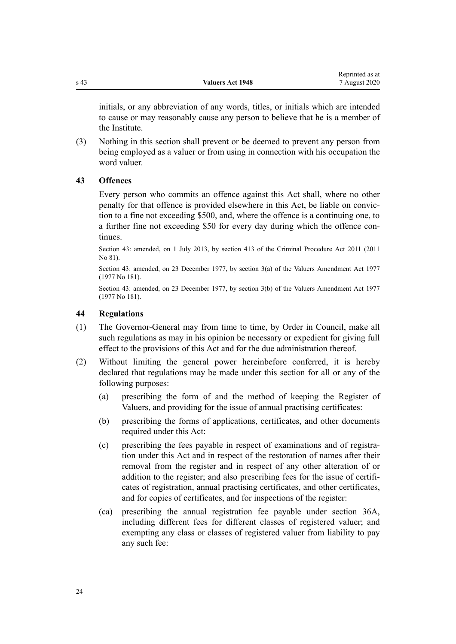<span id="page-23-0"></span>initials, or any abbreviation of any words, titles, or initials which are intended to cause or may reasonably cause any person to believe that he is a member of the Institute.

(3) Nothing in this section shall prevent or be deemed to prevent any person from being employed as a valuer or from using in connection with his occupation the word valuer.

## **43 Offences**

Every person who commits an offence against this Act shall, where no other penalty for that offence is provided elsewhere in this Act, be liable on conviction to a fine not exceeding \$500, and, where the offence is a continuing one, to a further fine not exceeding \$50 for every day during which the offence continues.

Section 43: amended, on 1 July 2013, by [section 413](http://legislation.govt.nz/pdflink.aspx?id=DLM3360714) of the Criminal Procedure Act 2011 (2011 No 81).

Section 43: amended, on 23 December 1977, by section 3(a) of the Valuers Amendment Act 1977 (1977 No 181).

Section 43: amended, on 23 December 1977, by section 3(b) of the Valuers Amendment Act 1977 (1977 No 181).

### **44 Regulations**

- (1) The Governor-General may from time to time, by Order in Council, make all such regulations as may in his opinion be necessary or expedient for giving full effect to the provisions of this Act and for the due administration thereof.
- (2) Without limiting the general power hereinbefore conferred, it is hereby declared that regulations may be made under this section for all or any of the following purposes:
	- (a) prescribing the form of and the method of keeping the Register of Valuers, and providing for the issue of annual practising certificates:
	- (b) prescribing the forms of applications, certificates, and other documents required under this Act:
	- (c) prescribing the fees payable in respect of examinations and of registration under this Act and in respect of the restoration of names after their removal from the register and in respect of any other alteration of or addition to the register; and also prescribing fees for the issue of certificates of registration, annual practising certificates, and other certificates, and for copies of certificates, and for inspections of the register:
	- (ca) prescribing the annual registration fee payable under [section 36A](#page-19-0), including different fees for different classes of registered valuer; and exempting any class or classes of registered valuer from liability to pay any such fee: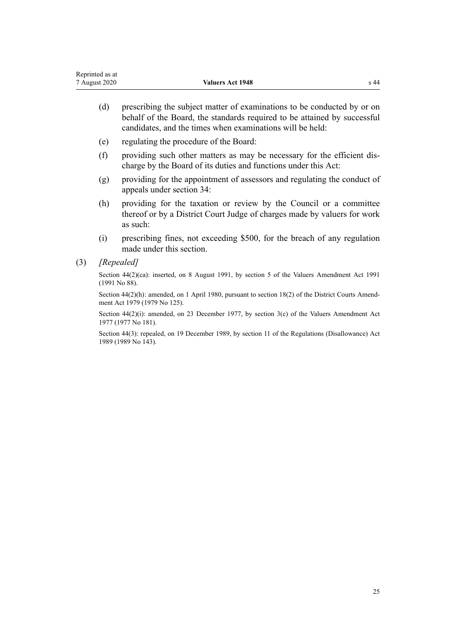- (d) prescribing the subject matter of examinations to be conducted by or on behalf of the Board, the standards required to be attained by successful candidates, and the times when examinations will be held:
- (e) regulating the procedure of the Board:
- (f) providing such other matters as may be necessary for the efficient discharge by the Board of its duties and functions under this Act:
- (g) providing for the appointment of assessors and regulating the conduct of appeals under [section 34:](#page-17-0)
- (h) providing for the taxation or review by the Council or a committee thereof or by a District Court Judge of charges made by valuers for work as such:
- (i) prescribing fines, not exceeding \$500, for the breach of any regulation made under this section.
- (3) *[Repealed]*

Section 44(2)(ca): inserted, on 8 August 1991, by section 5 of the Valuers Amendment Act 1991 (1991 No 88).

Section 44(2)(h): amended, on 1 April 1980, pursuant to [section 18\(2\)](http://legislation.govt.nz/pdflink.aspx?id=DLM35085) of the District Courts Amendment Act 1979 (1979 No 125).

Section 44(2)(i): amended, on 23 December 1977, by section 3(c) of the Valuers Amendment Act 1977 (1977 No 181).

Section 44(3): repealed, on 19 December 1989, by [section 11](http://legislation.govt.nz/pdflink.aspx?id=DLM195558) of the Regulations (Disallowance) Act 1989 (1989 No 143).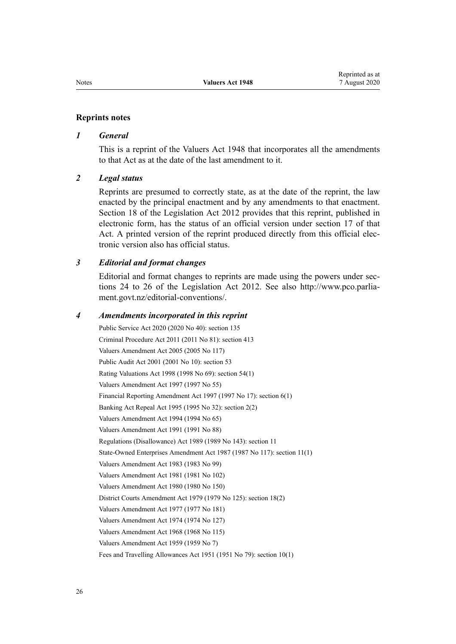#### **Reprints notes**

#### *1 General*

This is a reprint of the Valuers Act 1948 that incorporates all the amendments to that Act as at the date of the last amendment to it.

#### *2 Legal status*

Reprints are presumed to correctly state, as at the date of the reprint, the law enacted by the principal enactment and by any amendments to that enactment. [Section 18](http://legislation.govt.nz/pdflink.aspx?id=DLM2998516) of the Legislation Act 2012 provides that this reprint, published in electronic form, has the status of an official version under [section 17](http://legislation.govt.nz/pdflink.aspx?id=DLM2998515) of that Act. A printed version of the reprint produced directly from this official electronic version also has official status.

#### *3 Editorial and format changes*

Editorial and format changes to reprints are made using the powers under [sec](http://legislation.govt.nz/pdflink.aspx?id=DLM2998532)[tions 24 to 26](http://legislation.govt.nz/pdflink.aspx?id=DLM2998532) of the Legislation Act 2012. See also [http://www.pco.parlia](http://www.pco.parliament.govt.nz/editorial-conventions/)[ment.govt.nz/editorial-conventions/](http://www.pco.parliament.govt.nz/editorial-conventions/).

#### *4 Amendments incorporated in this reprint*

Public Service Act 2020 (2020 No 40): [section 135](http://legislation.govt.nz/pdflink.aspx?id=LMS176959) Criminal Procedure Act 2011 (2011 No 81): [section 413](http://legislation.govt.nz/pdflink.aspx?id=DLM3360714) [Valuers Amendment Act 2005](http://legislation.govt.nz/pdflink.aspx?id=DLM362655) (2005 No 117) Public Audit Act 2001 (2001 No 10): [section 53](http://legislation.govt.nz/pdflink.aspx?id=DLM88957) Rating Valuations Act 1998 (1998 No 69): [section 54\(1\)](http://legislation.govt.nz/pdflink.aspx?id=DLM427717) [Valuers Amendment Act 1997](http://legislation.govt.nz/pdflink.aspx?id=DLM410741) (1997 No 55) Financial Reporting Amendment Act 1997 (1997 No 17): [section 6\(1\)](http://legislation.govt.nz/pdflink.aspx?id=DLM408960) Banking Act Repeal Act 1995 (1995 No 32): [section 2\(2\)](http://legislation.govt.nz/pdflink.aspx?id=DLM366890) Valuers Amendment Act 1994 (1994 No 65) Valuers Amendment Act 1991 (1991 No 88) Regulations (Disallowance) Act 1989 (1989 No 143): [section 11](http://legislation.govt.nz/pdflink.aspx?id=DLM195558) State-Owned Enterprises Amendment Act 1987 (1987 No 117): section 11(1) Valuers Amendment Act 1983 (1983 No 99) Valuers Amendment Act 1981 (1981 No 102) Valuers Amendment Act 1980 (1980 No 150) District Courts Amendment Act 1979 (1979 No 125): [section 18\(2\)](http://legislation.govt.nz/pdflink.aspx?id=DLM35085) Valuers Amendment Act 1977 (1977 No 181) Valuers Amendment Act 1974 (1974 No 127) Valuers Amendment Act 1968 (1968 No 115) Valuers Amendment Act 1959 (1959 No 7) Fees and Travelling Allowances Act 1951 (1951 No 79): [section 10\(1\)](http://legislation.govt.nz/pdflink.aspx?id=DLM264982)